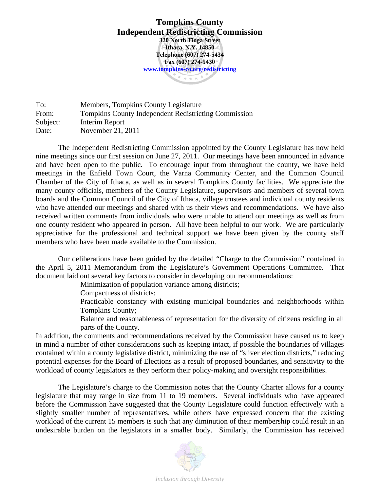**Tompkins County Independent Redistricting Commission 320 North Tioga Street Ithaca, N.Y. 14850 Telephone (607) 274-5434 Fax (607) 274-5430 www.tompkins-co.org/redistricting** $* + + *$ 

To: Members, Tompkins County Legislature From: Tompkins County Independent Redistricting Commission Subject: Interim Report Date: November 21, 2011

The Independent Redistricting Commission appointed by the County Legislature has now held nine meetings since our first session on June 27, 2011. Our meetings have been announced in advance and have been open to the public. To encourage input from throughout the county, we have held meetings in the Enfield Town Court, the Varna Community Center, and the Common Council Chamber of the City of Ithaca, as well as in several Tompkins County facilities. We appreciate the many county officials, members of the County Legislature, supervisors and members of several town boards and the Common Council of the City of Ithaca, village trustees and individual county residents who have attended our meetings and shared with us their views and recommendations. We have also received written comments from individuals who were unable to attend our meetings as well as from one county resident who appeared in person. All have been helpful to our work. We are particularly appreciative for the professional and technical support we have been given by the county staff members who have been made available to the Commission.

Our deliberations have been guided by the detailed "Charge to the Commission" contained in the April 5, 2011 Memorandum from the Legislature's Government Operations Committee. That document laid out several key factors to consider in developing our recommendations:

Minimization of population variance among districts;

Compactness of districts;

Practicable constancy with existing municipal boundaries and neighborhoods within Tompkins County;

Balance and reasonableness of representation for the diversity of citizens residing in all parts of the County.

In addition, the comments and recommendations received by the Commission have caused us to keep in mind a number of other considerations such as keeping intact, if possible the boundaries of villages contained within a county legislative district, minimizing the use of "sliver election districts," reducing potential expenses for the Board of Elections as a result of proposed boundaries, and sensitivity to the workload of county legislators as they perform their policy-making and oversight responsibilities.

 The Legislature's charge to the Commission notes that the County Charter allows for a county legislature that may range in size from 11 to 19 members. Several individuals who have appeared before the Commission have suggested that the County Legislature could function effectively with a slightly smaller number of representatives, while others have expressed concern that the existing workload of the current 15 members is such that any diminution of their membership could result in an undesirable burden on the legislators in a smaller body. Similarly, the Commission has received

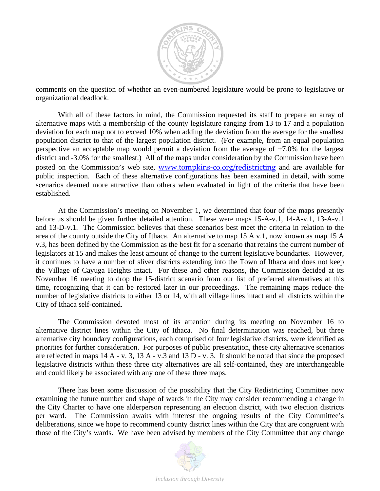

comments on the question of whether an even-numbered legislature would be prone to legislative or organizational deadlock.

 With all of these factors in mind, the Commission requested its staff to prepare an array of alternative maps with a membership of the county legislature ranging from 13 to 17 and a population deviation for each map not to exceed 10% when adding the deviation from the average for the smallest population district to that of the largest population district. (For example, from an equal population perspective an acceptable map would permit a deviation from the average of  $+7.0\%$  for the largest district and -3.0% for the smallest.) All of the maps under consideration by the Commission have been posted on the Commission's web site, www.tompkins-co.org/redistricting and are available for public inspection. Each of these alternative configurations has been examined in detail, with some scenarios deemed more attractive than others when evaluated in light of the criteria that have been established.

 At the Commission's meeting on November 1, we determined that four of the maps presently before us should be given further detailed attention. These were maps 15-A-v.1, 14-A-v.1, 13-A-v.1 and 13-D-v.1. The Commission believes that these scenarios best meet the criteria in relation to the area of the county outside the City of Ithaca. An alternative to map 15 A v.1, now known as map 15 A v.3, has been defined by the Commission as the best fit for a scenario that retains the current number of legislators at 15 and makes the least amount of change to the current legislative boundaries. However, it continues to have a number of sliver districts extending into the Town of Ithaca and does not keep the Village of Cayuga Heights intact. For these and other reasons, the Commission decided at its November 16 meeting to drop the 15-district scenario from our list of preferred alternatives at this time, recognizing that it can be restored later in our proceedings. The remaining maps reduce the number of legislative districts to either 13 or 14, with all village lines intact and all districts within the City of Ithaca self-contained.

 The Commission devoted most of its attention during its meeting on November 16 to alternative district lines within the City of Ithaca. No final determination was reached, but three alternative city boundary configurations, each comprised of four legislative districts, were identified as priorities for further consideration. For purposes of public presentation, these city alternative scenarios are reflected in maps 14 A - v. 3, 13 A - v.3 and 13 D - v. 3. It should be noted that since the proposed legislative districts within these three city alternatives are all self-contained, they are interchangeable and could likely be associated with any one of these three maps.

There has been some discussion of the possibility that the City Redistricting Committee now examining the future number and shape of wards in the City may consider recommending a change in the City Charter to have one alderperson representing an election district, with two election districts per ward. The Commission awaits with interest the ongoing results of the City Committee's deliberations, since we hope to recommend county district lines within the City that are congruent with those of the City's wards. We have been advised by members of the City Committee that any change